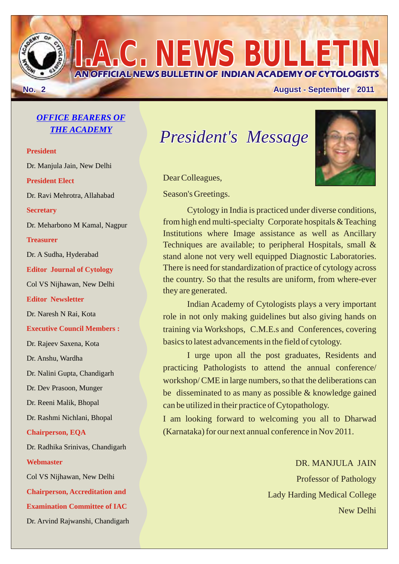**No. 2 August - September 2011**

### *OFFICE BEARERS OF THE ACADEMY*

**President President Elect Secretary Treasurer Editor Journal of Cytology Editor Newsletter Executive Council Members : Chairperson, EQA Webmaster Chairperson, Accreditation and Examination Committee of IAC** Dr. Manjula Jain, New Delhi Dr. Ravi Mehrotra, Allahabad Dr. Meharbono M Kamal, Nagpur Dr. A Sudha, Hyderabad Col VS Nijhawan, New Delhi Dr. Naresh N Rai, Kota Dr. Rajeev Saxena, Kota Dr. Anshu, Wardha Dr. Nalini Gupta, Chandigarh Dr. Dev Prasoon, Munger Dr. Reeni Malik, Bhopal Dr. Rashmi Nichlani, Bhopal Dr. Radhika Srinivas, Chandigarh Col VS Nijhawan, New Delhi Dr. Arvind Rajwanshi, Chandigarh

# *President's Message*

**AN OFFICIAL NEWS BULLETIN OF INDIAN ACADEMY OF CYTOLOGISTS**

**I.A.C. NEWS BULLETIN**



Dear Colleagues,

Season's Greetings.

Cytology in India is practiced under diverse conditions, from high end multi-specialty Corporate hospitals & Teaching Institutions where Image assistance as well as Ancillary Techniques are available; to peripheral Hospitals, small & stand alone not very well equipped Diagnostic Laboratories. There is need for standardization of practice of cytology across the country. So that the results are uniform, from where-ever they are generated.

Indian Academy of Cytologists plays a very important role in not only making guidelines but also giving hands on training via Workshops, C.M.E.s and Conferences, covering basics to latest advancements in the field of cytology.

I urge upon all the post graduates, Residents and practicing Pathologists to attend the annual conference/ workshop/ CME in large numbers, so that the deliberations can be disseminated to as many as possible & knowledge gained can be utilized in their practice of Cytopathology.

I am looking forward to welcoming you all to Dharwad (Karnataka) for our next annual conference in Nov 2011.

> DR. MANJULA JAIN Professor of Pathology Lady Harding Medical College New Delhi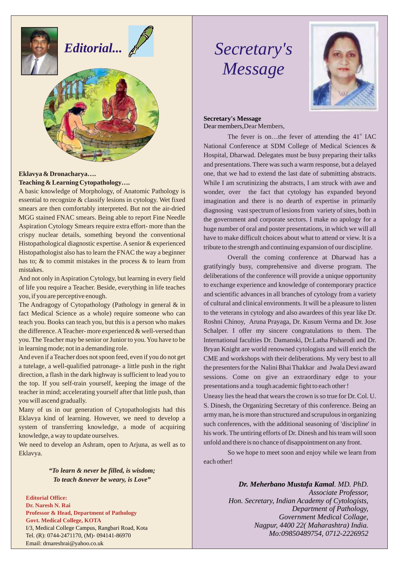

# *Editorial...*



#### **Eklavya & Dronacharya…. Teaching & Learning Cytopathology….**

A basic knowledge of Morphology, of Anatomic Pathology is essential to recognize & classify lesions in cytology. Wet fixed smears are then comfortably interpreted. But not the air-dried MGG stained FNAC smears. Being able to report Fine Needle Aspiration Cytology Smears require extra effort- more than the crispy nuclear details, something beyond the conventional Histopathological diagnostic expertise. A senior & experienced Histopathologist also has to learn the FNAC the way a beginner has to; & to commit mistakes in the process & to learn from mistakes.

And not only in Aspiration Cytology, but learning in every field of life you require a Teacher. Beside, everything in life teaches you, if you are perceptive enough.

The Andragogy of Cytopathology (Pathology in general & in fact Medical Science as a whole) require someone who can teach you. Books can teach you, but this is a person who makes the difference. ATeacher- more experienced & well-versed than you. The Teacher may be senior or Junior to you. You have to be in learning mode; not in a demanding role.

And even if a Teacher does not spoon feed, even if you do not get a tutelage, a well-qualified patronage- a little push in the right direction, a flash in the dark highway is sufficient to lead you to the top. If you self-train yourself, keeping the image of the teacher in mind; accelerating yourself after that little push, than you will ascend gradually.

Many of us in our generation of Cytopathologists had this Eklavya kind of learning. However, we need to develop a system of transferring knowledge, a mode of acquiring knowledge, a way to update ourselves.

We need to develop an Ashram, open to Arjuna, as well as to Eklavya.

> *"To learn & never be filled, is wisdom; To teach &never be weary, is Love"*

**Editorial Office: Dr. Naresh N. Rai Professor & Head, Department of Pathology Govt. Medical College, KOTA** I/3, Medical College Campus, Rangbari Road, Kota Tel. (R): 0744-2471170, (M)- 094141-86970 Email: drnareshrai@yahoo.co.uk

# *Secretary's Message*



**Secretary's Message** Dear members,Dear Members,

The fever is on...the fever of attending the  $41<sup>st</sup>$  IAC National Conference at SDM College of Medical Sciences & Hospital, Dharwad. Delegates must be busy preparing their talks and presentations. There was such a warm response, but a delayed one, that we had to extend the last date of submitting abstracts. While I am scrutinizing the abstracts, I am struck with awe and wonder, over the fact that cytology has expanded beyond imagination and there is no dearth of expertise in primarily diagnosing vast spectrum of lesions from variety of sites, both in the government and corporate sectors. I make no apology for a huge number of oral and poster presentations, in which we will all have to make difficult choices about what to attend or view. It is a tribute to the strength and continuing expansion of our discipline.

Overall the coming conference at Dharwad has a gratifyingly busy, comprehensive and diverse program. The deliberations of the conference will provide a unique opportunity to exchange experience and knowledge of contemporary practice and scientific advances in all branches of cytology from a variety of cultural and clinical environments. It will be a pleasure to listen to the veterans in cytology and also awardees of this year like Dr. Roshni Chinoy, Aruna Prayaga, Dr. Kusum Verma and Dr. Jose Schalper. I offer my sincere congratulations to them. The International faculties Dr. Damanski, Dr.Latha Pisharodi and Dr. Bryan Knight are world renowned cytologists and will enrich the CME and workshops with their deliberations. My very best to all the presenters for the Nalini Bhai Thakkar and Jwala Devi award sessions. Come on give an extraordinary edge to your presentations and a tough academic fight to each other !

Uneasy lies the head that wears the crown is so true for Dr. Col. U. S. Dinesh, the Organizing Secretary of this conference. Being an army man, he is more than structured and scrupulous in organizing such conferences, with the additional seasoning of 'discipline' in his work. The untiring efforts of Dr. Dinesh and his team will soon unfold and there is no chance of disappointment on any front.

So we hope to meet soon and enjoy while we learn from each other!

> *Dr. Meherbano Mustafa Kamal. MD. PhD. Associate Professor, Hon. Secretary, Indian Academy of Cytologists, Department of Pathology, Government Medical Collage, Nagpur, 4400 22( Maharashtra) India. Mo:09850489754, 0712-2226952*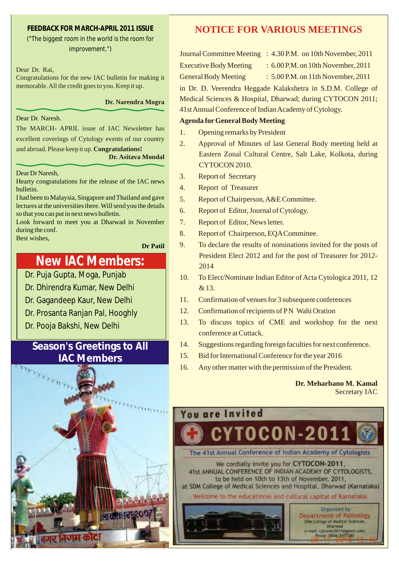#### **FEEDBACK FOR MARCH-APRIL 2011 ISSUE**

*("The biggest room in the world is the room for improvement.")*

Dear Dr. Rai,

Congratulations for the new IAC bulletin for making it memorable. All the credit goes to you. Keep it up.

**Dr. Narendra Mogra**

#### Dear Dr. Naresh.

The MARCH- APRIL issue of IAC Newsletter has excellent coverings of Cytology events of our country

and abroad. Please keep it up. **Congratulations!**

#### **Dr. Asitava Mondal**

Dear Dr Naresh,

Hearty congratulations for the release of the IAC news bulletin.

I had been to Malaysia, Singapore and Thailand and gave lectures at the universities there. Will send you the details so that you can put in next news bulletin.

Look forward to meet you at Dharwad in November during the conf. Best wishes,

**Dr Patil**

## **New IAC Members:**

Dr. Puja Gupta, Moga, Punjab

- Dr. Dhirendra Kumar, New Delhi
- Dr. Gagandeep Kaur, New Delhi
- Dr. Prosanta Ranjan Pal, Hooghly
- Dr. Pooja Bakshi, New Delhi

## **Season's Greetings to All IAC Members**



### **NOTICE FOR VARIOUS MEETINGS**

Journal Committee Meeting : 4.30 P.M. on 10th November, 2011

Executive Body Meeting : 6.00 P.M. on 10th November, 2011

General Body Meeting : 5.00 P.M. on 11th November, 2011

in Dr. D. Veerendra Heggade Kalakshetra in S.D.M. College of Medical Sciences & Hospital, Dharwad; during CYTOCON 2011; 41st Annual Conference of Indian Academy of Cytology.

#### **Agenda for General Body Meeting**

- 1. Opening remarks by President
- 2. Approval of Minutes of last General Body meeting held at Eastern Zonal Cultural Centre, Salt Lake, Kolkota, during CYTOCON 2010.
- 3. Report of Secretary
- 4. Report of Treasurer
- 5. Report of Chairperson, A&E Committee.
- 6. Report of Editor, Journal of Cytology.
- 7. Report of Editor, News letter.
- 8. Report of Chairperson, EQA Committee.
- 9. To declare the results of nominations invited for the posts of President Elect 2012 and for the post of Treasurer for 2012- 2014
- 10. To Elect/Nominate Indian Editor of Acta Cytologica 2011, 12 & 13.
- 11. Confirmation of venues for 3 subsequent conferences
- 12. Confirmation of recipients of PN Wahi Oration
- 13. To discuss topics of CME and workshop for the next conference at Cuttack.
- 14. Suggestions regarding foreign faculties for next conference.
- 15. Bid for International Conference for the year 2016
- 16. Any other matter with the permission of the President.

#### **Dr. Meharbano M. Kamal** Secretary IAC

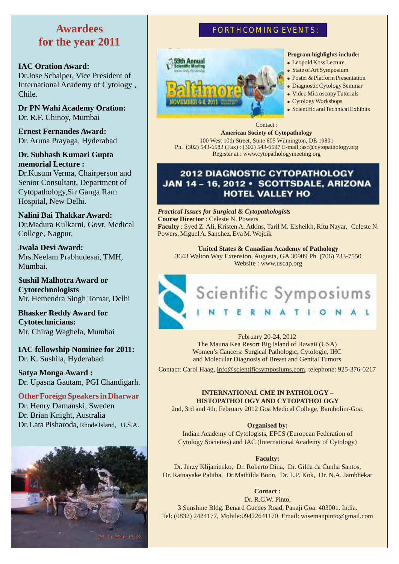## **Awardees for the year 2011**

#### **IAC Oration Award:**

Dr.Jose Schalper, Vice President of International Academy of Cytology , Chile.

**Dr PN Wahi Academy Oration:** Dr. R.F. Chinoy, Mumbai

**Ernest Fernandes Award:** Dr. Aruna Prayaga, Hyderabad

**Dr. Subhash Kumari Gupta memorial Lecture :** Dr.Kusum Verma, Chairperson and Senior Consultant, Department of Cytopathology,Sir Ganga Ram Hospital, New Delhi.

**Nalini Bai Thakkar Award:**  Dr.Madura Kulkarni, Govt. Medical College, Nagpur.

**Jwala Devi Award:**  Mrs.Neelam Prabhudesai, TMH, Mumbai.

**Sushil Malhotra Award or Cytotechnologists** Mr. Hemendra Singh Tomar, Delhi

**Bhasker Reddy Award for Cytotechnicians:**  Mr. Chirag Waghela, Mumbai

**IAC fellowship Nominee for 2011:** Dr. K. Sushila, Hyderabad.

**Satya Monga Award :** Dr. Upasna Gautam, PGI Chandigarh.

**Other Foreign Speakers in Dharwar** Dr. Henry Damanski, Sweden Dr. Brian Knight, Australia Dr. Lata Pisharoda, Rhode Island, U.S.A.



### **FORTHCOMING EVENTS :**



#### **Program highlights include:**

- Leopold Koss Lecture
- State of Art Symposium
- Poster & Platform Presentation
- Diagnostic Cytology Seminar
- Video Microscopy Tutorials
- Cytology Workshops
- Scientific and Technical Exhibits

Contact : **American Society of Cytopathology** 100 West 10th Street, Suite 605 Wilmington, DE 19801 Ph. (302) 543-6583 (Fax) : (302) 543-6597 E-mail :asc@cytopathology.org Register at : www.cytopathologymeeting.org

### **2012 DIAGNOSTIC CYTOPATHOLOGY** JAN 14-16, 2012 · SCOTTSDALE, ARIZONA **HOTEL VALLEY HO**

*Practical Issues for Surgical & Cytopathologists*  **Course Director** : Celeste N. Powers **Faculty** : Syed Z. Ali, Kristen A. Atkins, Taril M. Elsheikh, Ritu Nayar, Celeste N. Powers, Miguel A. Sanchez, Eva M. Wojcik

**United States & Canadian Academy of Pathology** 3643 Walton Way Extension, Augusta, GA 30909 Ph. (706) 733-7550 Website : www.uscap.org



February 20-24, 2012 The Mauna Kea Resort Big Island of Hawaii (USA) Women's Cancers: Surgical Pathologic, Cytologic, IHC and Molecular Diagnosis of Breast and Genital Tumors

Contact: Carol Haag, info@scientificsymposiums.com, telephone: 925-376-0217

#### **INTERNATIONAL CME IN PATHOLOGY – HISTOPATHOLOGY AND CYTOPATHOLOGY**

2nd, 3rd and 4th, February 2012 Goa Medical College, Bambolim-Goa.

**Organised by:**

Indian Academy of Cytologists, EFCS (European Federation of Cytology Societies) and IAC (International Academy of Cytology)

#### **Faculty:**

Dr. Jerzy Klijanienko, Dr. Roberto Dina, Dr. Gilda da Cunha Santos, Dr. Ratnayake Palitha, Dr.Mathilda Boon, Dr. L.P. Kok, Dr. N.A. Jambhekar

**Contact :** 

Dr. R.G.W. Pinto,

3 Sunshine Bldg, Benard Guedes Road, Panaji Goa. 403001. India. Tel: (0832) 2424177, Mobile:09422641170. Email: wisemanpinto@gmail.com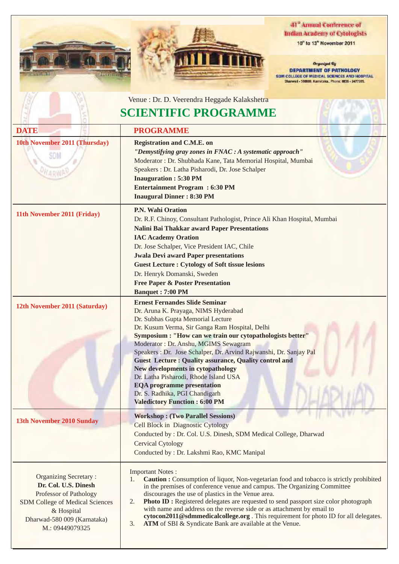

**WA** 

709



#### 41<sup>°</sup> Annual Conference of **Indian Academy of Cytologists**

10" to 13" November 2011

Organized By **DEPARTMENT OF PATHOLOGY**<br>SDM COLLEGE OF MEDICAL SCIENCES AND HOSPITAL<br>Diarwed - 380095, Nametaka, Phone: 0036 - 2477395.

|                                                                                                                                                                                   | Venue : Dr. D. Veerendra Heggade Kalakshetra                                                                                                                                                                                                                                                                                                                                                                                                                                                                                                                                                                          |
|-----------------------------------------------------------------------------------------------------------------------------------------------------------------------------------|-----------------------------------------------------------------------------------------------------------------------------------------------------------------------------------------------------------------------------------------------------------------------------------------------------------------------------------------------------------------------------------------------------------------------------------------------------------------------------------------------------------------------------------------------------------------------------------------------------------------------|
| <b>SCIENTIFIC PROGRAMME</b>                                                                                                                                                       |                                                                                                                                                                                                                                                                                                                                                                                                                                                                                                                                                                                                                       |
| <b>DATE</b>                                                                                                                                                                       | <b>PROGRAMME</b>                                                                                                                                                                                                                                                                                                                                                                                                                                                                                                                                                                                                      |
| 10th November 2011 (Thursday)<br>SDM                                                                                                                                              | <b>Registration and C.M.E. on</b><br>"Demystifying gray zones in FNAC : A systematic approach"<br>Moderator : Dr. Shubhada Kane, Tata Memorial Hospital, Mumbai<br>Speakers : Dr. Latha Pisharodi, Dr. Jose Schalper<br><b>Inauguration: 5:30 PM</b><br><b>Entertainment Program : 6:30 PM</b><br><b>Inaugural Dinner: 8:30 PM</b>                                                                                                                                                                                                                                                                                    |
| 11th November 2011 (Friday)                                                                                                                                                       | P.N. Wahi Oration<br>Dr. R.F. Chinoy, Consultant Pathologist, Prince Ali Khan Hospital, Mumbai<br>Nalini Bai Thakkar award Paper Presentations<br><b>IAC Academy Oration</b><br>Dr. Jose Schalper, Vice President IAC, Chile<br><b>Jwala Devi award Paper presentations</b><br><b>Guest Lecture: Cytology of Soft tissue lesions</b><br>Dr. Henryk Domanski, Sweden<br><b>Free Paper &amp; Poster Presentation</b><br><b>Banquet: 7:00 PM</b>                                                                                                                                                                         |
| 12th November 2011 (Saturday)                                                                                                                                                     | <b>Ernest Fernandes Slide Seminar</b><br>Dr. Aruna K. Prayaga, NIMS Hyderabad<br>Dr. Subhas Gupta Memorial Lecture<br>Dr. Kusum Verma, Sir Ganga Ram Hospital, Delhi<br>Symposium : "How can we train our cytopathologists better"<br>Moderator: Dr. Anshu, MGIMS Sewagram<br>Speakers : Dr. Jose Schalper, Dr. Arvind Rajwanshi, Dr. Sanjay Pal<br><b>Guest Lecture: Quality assurance, Quality control and</b><br><b>New developments in cytopathology</b><br>Dr. Latha Pisharodi, Rhode Island USA<br><b>EQA</b> programme presentation<br>Dr. S. Radhika, PGI Chandigarh<br><b>Valedictory Function : 6:00 PM</b> |
| 13th November 2010 Sunday                                                                                                                                                         | <b>Workshop: (Two Parallel Sessions)</b><br><b>Cell Block in Diagnostic Cytology</b><br>Conducted by : Dr. Col. U.S. Dinesh, SDM Medical College, Dharwad<br><b>Cervical Cytology</b><br>Conducted by : Dr. Lakshmi Rao, KMC Manipal                                                                                                                                                                                                                                                                                                                                                                                  |
| <b>Organizing Secretary:</b><br>Dr. Col. U.S. Dinesh<br>Professor of Pathology<br>SDM College of Medical Sciences<br>& Hospital<br>Dharwad-580 009 (Karnataka)<br>M.: 09449079325 | <b>Important Notes:</b><br><b>Caution :</b> Consumption of liquor, Non-vegetarian food and tobacco is strictly prohibited<br>1.<br>in the premises of conference venue and campus. The Organizing Committee<br>discourages the use of plastics in the Venue area.<br><b>Photo ID:</b> Registered delegates are requested to send passport size color photograph<br>2.<br>with name and address on the reverse side or as attachment by email to<br>cytocon2011@sdmmedicalcollege.org. This requirement for photo ID for all delegates.<br>ATM of SBI & Syndicate Bank are available at the Venue.<br>3.               |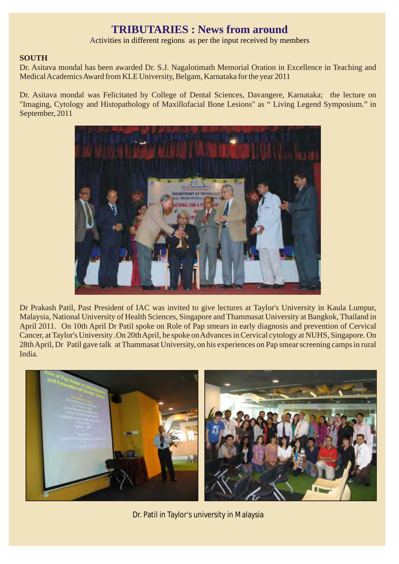## **TRIBUTARIES : News from around**

Activities in different regions as per the input received by members

#### **SOUTH**

Dr. Asitava mondal has been awarded Dr. S.J. Nagalotimath Memorial Oration in Excellence in Teaching and Medical Academics Award from KLE University, Belgam, Karnataka for the year 2011

Dr. Asitava mondal was Felicitated by College of Dental Sciences, Davangere, Karnataka; the lecture on "Imaging, Cytology and Histopathology of Maxillofacial Bone Lesions" as " Living Legend Symposium." in September, 2011



Dr Prakash Patil, Past President of IAC was invited to give lectures at Taylor's University in Kaula Lumpur, Malaysia, National University of Health Sciences, Singapore and Thammasat University at Bangkok, Thailand in April 2011. On 10th April Dr Patil spoke on Role of Pap smears in early diagnosis and prevention of Cervical Cancer, at Taylor's University .On 20th April, he spoke on Advances in Cervical cytology at NUHS, Singapore. On 28th April, Dr Patil gave talk at Thammasat University, on his experiences on Pap smear screening camps in rural India.



Dr. Patil in Taylor's university in Malaysia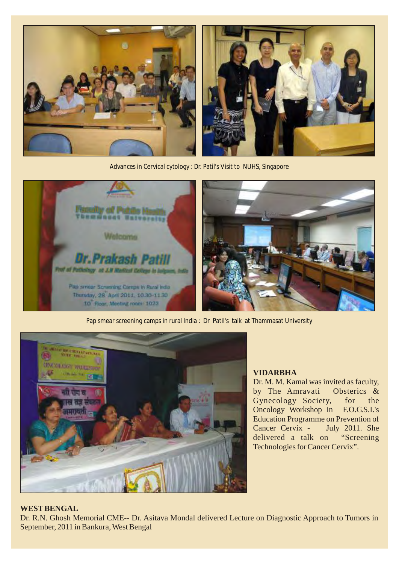

Advances in Cervical cytology : Dr. Patil's Visit to NUHS, Singapore





Pap smear screening camps in rural India : Dr Patil's talk at Thammasat University



#### **VIDARBHA**

Dr. M. M. Kamal was invited as faculty, by The Amravati Obsterics & Gynecology Society, for the Oncology Workshop in F.O.G.S.I.'s Education Programme on Prevention of Cancer Cervix - July 2011. She delivered a talk on "Screening Technologies for Cancer Cervix".

#### **WEST BENGAL**

Dr. R.N. Ghosh Memorial CME-- Dr. Asitava Mondal delivered Lecture on Diagnostic Approach to Tumors in September, 2011 in Bankura, West Bengal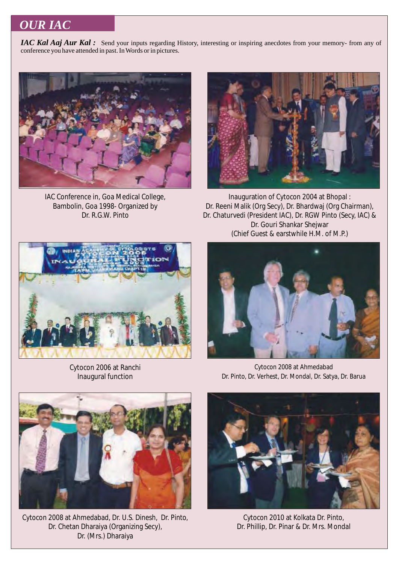## *OUR IAC*

*IAC Kal Aaj Aur Kal*: Send your inputs regarding History, interesting or inspiring anecdotes from your memory- from any of conference you have attended in past. In Words or in pictures.



IAC Conference in, Goa Medical College, Bambolin, Goa 1998- Organized by Dr. R.G.W. Pinto



Inauguration of Cytocon 2004 at Bhopal : Dr. Reeni Malik (Org Secy), Dr. Bhardwaj (Org Chairman), Dr. Chaturvedi (President IAC), Dr. RGW Pinto (Secy, IAC) & Dr. Gouri Shankar Shejwar (Chief Guest & earstwhile H.M. of M.P.)



Cytocon 2006 at Ranchi Inaugural function



Cytocon 2008 at Ahmedabad Dr. Pinto, Dr. Verhest, Dr. Mondal, Dr. Satya, Dr. Barua



Cytocon 2008 at Ahmedabad, Dr. U.S. Dinesh, Dr. Pinto, Dr. Chetan Dharaiya (Organizing Secy), Dr. (Mrs.) Dharaiya



Cytocon 2010 at Kolkata Dr. Pinto, Dr. Phillip, Dr. Pinar & Dr. Mrs. Mondal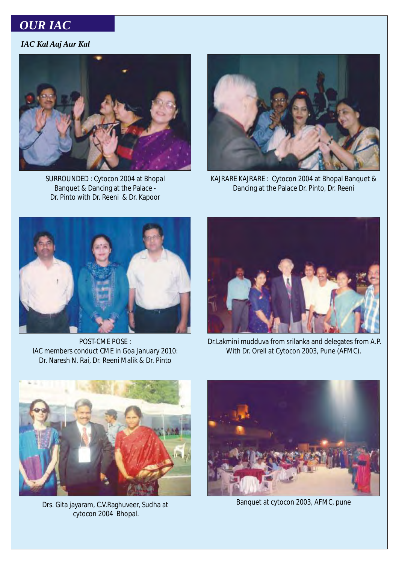## *OUR IAC*

### *IAC Kal Aaj Aur Kal*



SURROUNDED : Cytocon 2004 at Bhopal Banquet & Dancing at the Palace - Dr. Pinto with Dr. Reeni & Dr. Kapoor



KAJRARE KAJRARE : Cytocon 2004 at Bhopal Banquet & Dancing at the Palace Dr. Pinto, Dr. Reeni



POST-CME POSE : IAC members conduct CME in Goa January 2010: Dr. Naresh N. Rai, Dr. Reeni Malik & Dr. Pinto



 Dr.Lakmini mudduva from srilanka and delegates from A.P. With Dr. Orell at Cytocon 2003, Pune (AFMC).



Drs. Gita jayaram, C.V.Raghuveer, Sudha at cytocon 2004 Bhopal.



Banquet at cytocon 2003, AFMC, pune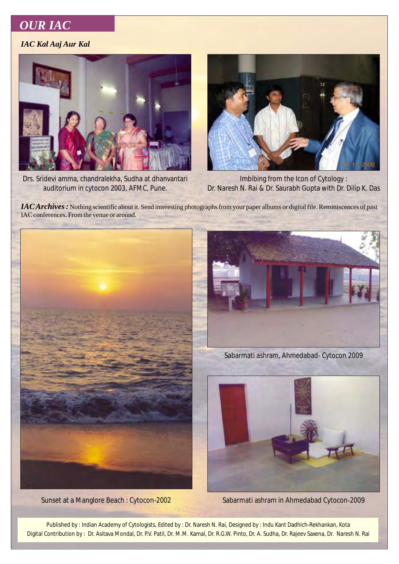## *OUR IAC*

#### *IAC Kal Aaj Aur Kal*



Drs. Sridevi amma, chandralekha, Sudha at dhanvantari auditorium in cytocon 2003, AFMC, Pune.



Imbibing from the Icon of Cytology : Dr. Naresh N. Rai & Dr. Saurabh Gupta with Dr. Dilip K. Das

*IAC Archives*: Nothing scientific about it. Send interesting photographs from your paper albums or digital file. Reminiscences of past IAC conferences. From the venue or around.





Sabarmati ashram, Ahmedabad- Cytocon 2009



Sunset at a Manglore Beach : Cytocon-2002 Sabarmati ashram in Ahmedabad Cytocon-2009

Published by : Indian Academy of Cytologists, Edited by : Dr. Naresh N. Rai, Designed by : Indu Kant Dadhich-Rekhankan, Kota Digital Contribution by : Dr. Asitava Mondal, Dr. P.V. Patil, Dr. M.M. Kamal, Dr. R.G.W. Pinto, Dr. A. Sudha, Dr. Rajeev Saxena, Dr. Naresh N. Rai